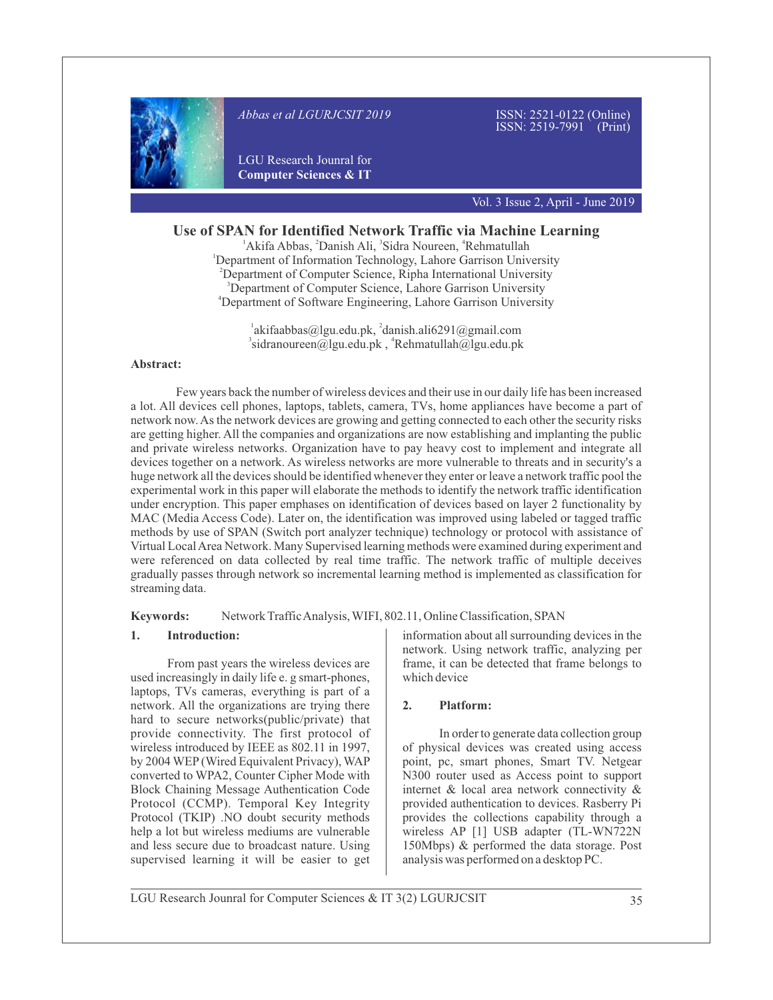

*Abbas et al LGURJCSIT 2019* 

ISSN: 2521-0122 (Online) ISSN: 2519-7991 (Print)

LGU Research Jounral for **Computer Sciences & IT**

Vol. 3 Issue 2, April - June 2019

# **Use of SPAN for Identified Network Traffic via Machine Learning**

<sup>1</sup> Akifa Abbas, <sup>2</sup> Danish Ali, <sup>3</sup> Sidra Noureen, <sup>4</sup> Rehmatullah <sup>1</sup>Department of Information Technology, Lahore Garrison University <sup>2</sup>Department of Computer Science, Ripha International University <sup>3</sup>Department of Computer Science, Lahore Garrison University <sup>4</sup>Department of Software Engineering, Lahore Garrison University

> $\alpha$ <sup>1</sup>akifaabbas@lgu.edu.pk,  $\alpha$ <sup>2</sup>danish.ali6291@gmail.com  $3$ sidranoureen@lgu.edu.pk,  $4$ Rehmatullah@lgu.edu.pk

## **Abstract:**

Few years back the number of wireless devices and their use in our daily life has been increased a lot. All devices cell phones, laptops, tablets, camera, TVs, home appliances have become a part of network now. As the network devices are growing and getting connected to each other the security risks are getting higher. All the companies and organizations are now establishing and implanting the public and private wireless networks. Organization have to pay heavy cost to implement and integrate all devices together on a network. As wireless networks are more vulnerable to threats and in security's a huge network all the devices should be identified whenever they enter or leave a network traffic pool the experimental work in this paper will elaborate the methods to identify the network traffic identification under encryption. This paper emphases on identification of devices based on layer 2 functionality by MAC (Media Access Code). Later on, the identification was improved using labeled or tagged traffic methods by use of SPAN (Switch port analyzer technique) technology or protocol with assistance of Virtual Local Area Network. Many Supervised learning methods were examined during experiment and were referenced on data collected by real time traffic. The network traffic of multiple deceives gradually passes through network so incremental learning method is implemented as classification for streaming data.

## **Keywords:** Network Traffic Analysis, WIFI, 802.11, Online Classification, SPAN

## **1. Introduction:**

From past years the wireless devices are used increasingly in daily life e. g smart-phones, laptops, TVs cameras, everything is part of a network. All the organizations are trying there hard to secure networks(public/private) that provide connectivity. The first protocol of wireless introduced by IEEE as 802.11 in 1997, by 2004 WEP(Wired Equivalent Privacy), WAP converted to WPA2, Counter Cipher Mode with Block Chaining Message Authentication Code Protocol (CCMP). Temporal Key Integrity Protocol (TKIP) .NO doubt security methods help a lot but wireless mediums are vulnerable and less secure due to broadcast nature. Using supervised learning it will be easier to get

information about all surrounding devices in the network. Using network traffic, analyzing per frame, it can be detected that frame belongs to which device

## **2. Platform:**

In order to generate data collection group of physical devices was created using access point, pc, smart phones, Smart TV. Netgear N300 router used as Access point to support internet & local area network connectivity & provided authentication to devices. Rasberry Pi provides the collections capability through a wireless AP [1] USB adapter (TL-WN722N 150Mbps) & performed the data storage. Post analysis was performed on a desktop PC.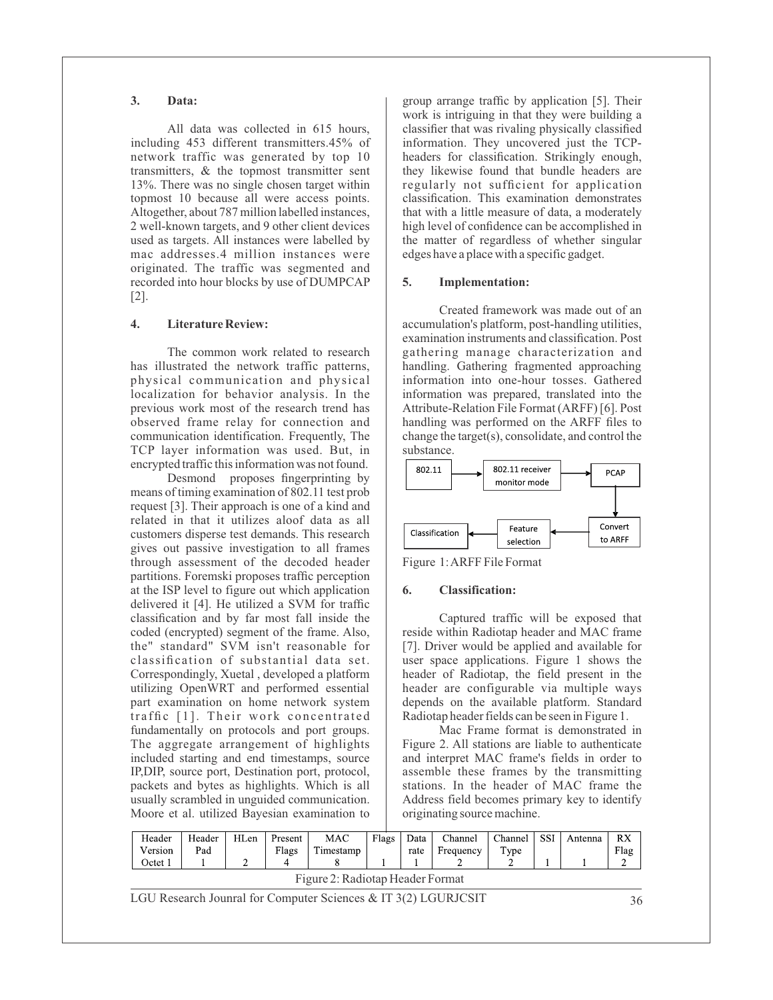#### **3. Data:**

All data was collected in 615 hours, including 453 different transmitters.45% of network traffic was generated by top 10 transmitters, & the topmost transmitter sent 13%. There was no single chosen target within topmost 10 because all were access points. Altogether, about 787 million labelled instances, 2 well-known targets, and 9 other client devices used as targets. All instances were labelled by mac addresses.4 million instances were originated. The traffic was segmented and recorded into hour blocks by use of DUMPCAP [2].

#### **4. Literature Review:**

The common work related to research has illustrated the network traffic patterns, physical communication and physical localization for behavior analysis. In the previous work most of the research trend has observed frame relay for connection and communication identification. Frequently, The TCP layer information was used. But, in encrypted traffic this information was not found.

Desmond proposes fingerprinting by means of timing examination of 802.11 test prob request [3]. Their approach is one of a kind and related in that it utilizes aloof data as all customers disperse test demands. This research gives out passive investigation to all frames through assessment of the decoded header partitions. Foremski proposes traffic perception at the ISP level to figure out which application delivered it [4]. He utilized a SVM for traffic classification and by far most fall inside the coded (encrypted) segment of the frame. Also, the" standard" SVM isn't reasonable for classification of substantial data set. Correspondingly, Xuetal , developed a platform utilizing OpenWRT and performed essential part examination on home network system traffic [1]. Their work concentrated fundamentally on protocols and port groups. The aggregate arrangement of highlights included starting and end timestamps, source IP,DIP, source port, Destination port, protocol, packets and bytes as highlights. Which is all usually scrambled in unguided communication. Moore et al. utilized Bayesian examination to

group arrange traffic by application [5]. Their work is intriguing in that they were building a classifier that was rivaling physically classified information. They uncovered just the TCPheaders for classification. Strikingly enough, they likewise found that bundle headers are regularly not sufficient for application classification. This examination demonstrates that with a little measure of data, a moderately high level of confidence can be accomplished in the matter of regardless of whether singular edges have a place with a specific gadget.

#### **5. Implementation:**

Created framework was made out of an accumulation's platform, post-handling utilities, examination instruments and classification. Post gathering manage characterization and handling. Gathering fragmented approaching information into one-hour tosses. Gathered information was prepared, translated into the Attribute-Relation File Format (ARFF) [6]. Post handling was performed on the ARFF files to change the target(s), consolidate, and control the substance.





#### **6. Classification:**

Captured traffic will be exposed that reside within Radiotap header and MAC frame [7]. Driver would be applied and available for user space applications. Figure 1 shows the header of Radiotap, the field present in the header are configurable via multiple ways depends on the available platform. Standard Radiotap header fields can be seen in Figure 1.

Mac Frame format is demonstrated in Figure 2. All stations are liable to authenticate and interpret MAC frame's fields in order to assemble these frames by the transmitting stations. In the header of MAC frame the Address field becomes primary key to identify originating source machine.

| Header                           | Header | HLen | Present | MAC       | Flags | Data | Channel   | Channel        | <b>SSI</b> | Antenna | <b>RX</b> |
|----------------------------------|--------|------|---------|-----------|-------|------|-----------|----------------|------------|---------|-----------|
| Version                          | Pad    |      | Flags   | Timestamp |       | rate | Frequency | T <sub>V</sub> |            |         | Flag      |
| Octet 1                          |        |      |         |           |       |      |           |                |            |         |           |
| Figure 2: Radiotap Header Format |        |      |         |           |       |      |           |                |            |         |           |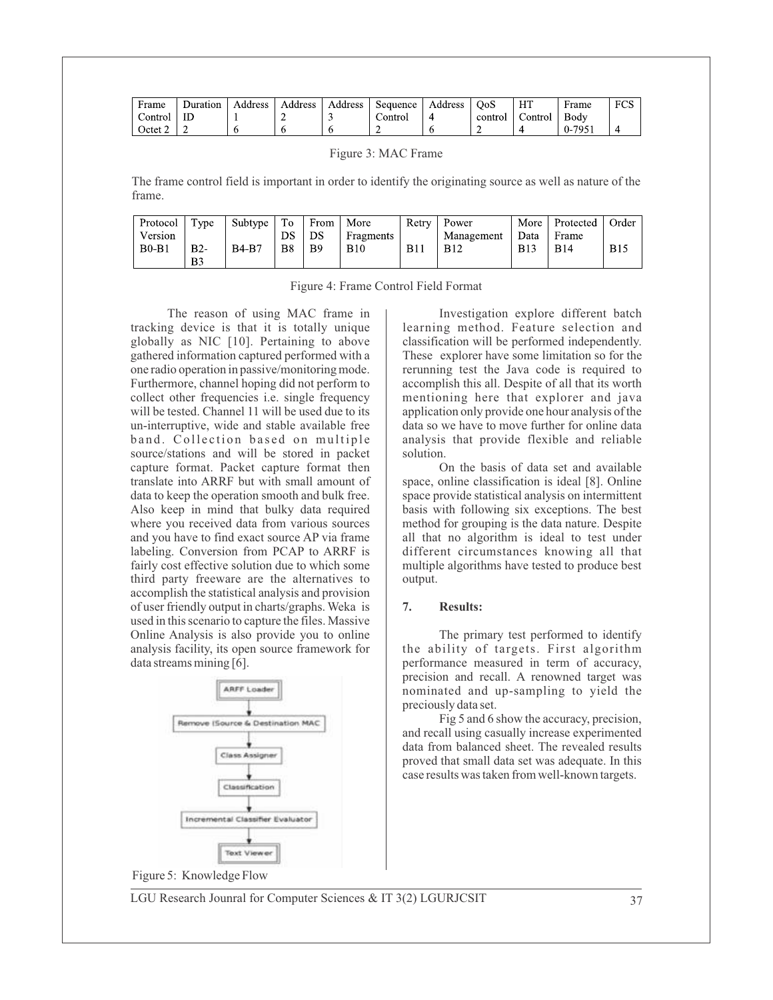| Frame   | Duration | Address | Address | Address | Sequence | Address | OoS     | HТ      | Frame | <b>EOG</b><br>. UW |
|---------|----------|---------|---------|---------|----------|---------|---------|---------|-------|--------------------|
| ∠ontrol | IΓ       |         | ∸       |         | Control  |         | control | Control | Body  |                    |
| Octet   |          |         |         |         |          |         |         |         | 0.795 |                    |

Figure 3: MAC Frame

The frame control field is important in order to identify the originating source as well as nature of the frame.

| Protocol | Type  | Subtype      | To             | From           | More       | Retry      | 1 Power    |            | More Protected | Order      |
|----------|-------|--------------|----------------|----------------|------------|------------|------------|------------|----------------|------------|
| Version  |       |              | DS             | ÐS             | Fragments  |            | Management | Data       | Frame          |            |
| B0B1     | $B2-$ | <b>B4-B7</b> | B <sub>8</sub> | B <sub>9</sub> | <b>B10</b> | <b>B11</b> | <b>B12</b> | <b>B13</b> | <b>B</b> 14    | <b>B15</b> |
|          | B3    |              |                |                |            |            |            |            |                |            |

|  | Figure 4: Frame Control Field Format |  |
|--|--------------------------------------|--|
|  |                                      |  |

The reason of using MAC frame in tracking device is that it is totally unique globally as NIC [10]. Pertaining to above gathered information captured performed with a one radio operation in passive/monitoring mode. Furthermore, channel hoping did not perform to collect other frequencies i.e. single frequency will be tested. Channel 11 will be used due to its un-interruptive, wide and stable available free band. Collection based on multiple source/stations and will be stored in packet capture format. Packet capture format then translate into ARRF but with small amount of data to keep the operation smooth and bulk free. Also keep in mind that bulky data required where you received data from various sources and you have to find exact source AP via frame labeling. Conversion from PCAP to ARRF is fairly cost effective solution due to which some third party freeware are the alternatives to accomplish the statistical analysis and provision of user friendly output in charts/graphs. Weka is used in this scenario to capture the files. Massive Online Analysis is also provide you to online analysis facility, its open source framework for data streams mining [6].



Investigation explore different batch learning method. Feature selection and classification will be performed independently. These explorer have some limitation so for the rerunning test the Java code is required to accomplish this all. Despite of all that its worth mentioning here that explorer and java application only provide one hour analysis of the data so we have to move further for online data analysis that provide flexible and reliable solution.

On the basis of data set and available space, online classification is ideal [8]. Online space provide statistical analysis on intermittent basis with following six exceptions. The best method for grouping is the data nature. Despite all that no algorithm is ideal to test under different circumstances knowing all that multiple algorithms have tested to produce best output.

## **7. Results:**

The primary test performed to identify the ability of targets. First algorithm performance measured in term of accuracy, precision and recall. A renowned target was nominated and up-sampling to yield the preciously data set.

Fig 5 and 6 show the accuracy, precision, and recall using casually increase experimented data from balanced sheet. The revealed results proved that small data set was adequate. In this case results was taken from well-known targets.

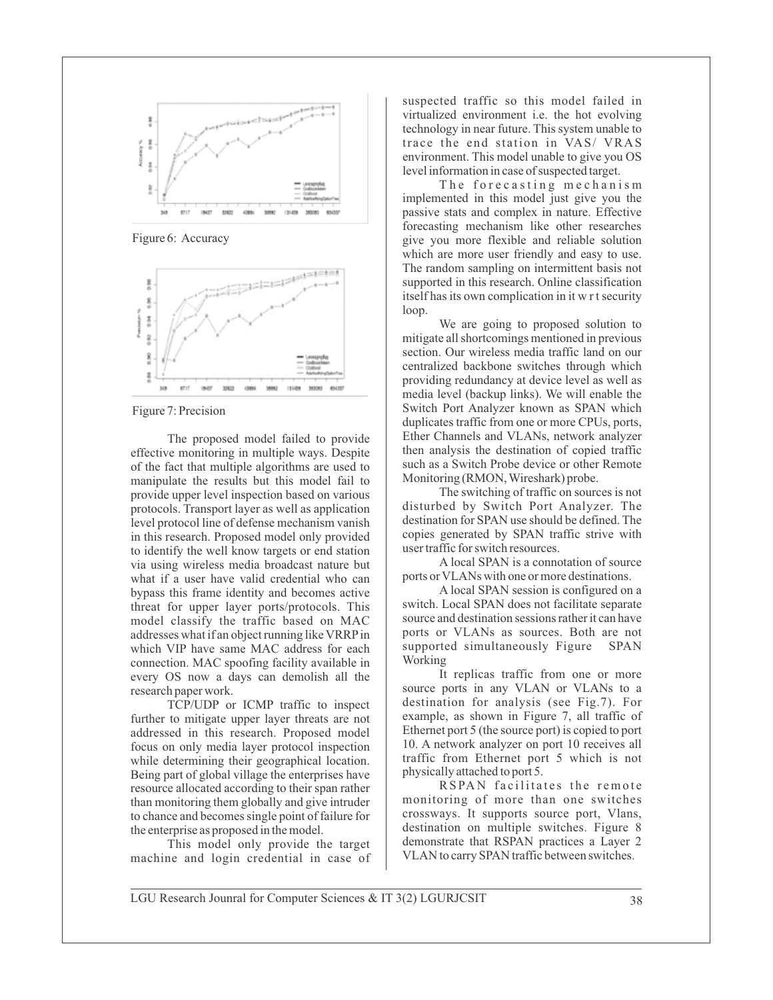

Figure 6: Accuracy



Figure 7: Precision

The proposed model failed to provide effective monitoring in multiple ways. Despite of the fact that multiple algorithms are used to manipulate the results but this model fail to provide upper level inspection based on various protocols. Transport layer as well as application level protocol line of defense mechanism vanish in this research. Proposed model only provided to identify the well know targets or end station via using wireless media broadcast nature but what if a user have valid credential who can bypass this frame identity and becomes active threat for upper layer ports/protocols. This model classify the traffic based on MAC addresses what if an object running like VRRPin which VIP have same MAC address for each connection. MAC spoofing facility available in every OS now a days can demolish all the research paper work.

TCP/UDP or ICMP traffic to inspect further to mitigate upper layer threats are not addressed in this research. Proposed model focus on only media layer protocol inspection while determining their geographical location. Being part of global village the enterprises have resource allocated according to their span rather than monitoring them globally and give intruder to chance and becomes single point of failure for the enterprise as proposed in the model.

This model only provide the target machine and login credential in case of suspected traffic so this model failed in virtualized environment i.e. the hot evolving technology in near future. This system unable to trace the end station in VAS/ VRAS environment. This model unable to give you OS level information in case of suspected target.

The forecasting mechanism implemented in this model just give you the passive stats and complex in nature. Effective forecasting mechanism like other researches give you more flexible and reliable solution which are more user friendly and easy to use. The random sampling on intermittent basis not supported in this research. Online classification itself has its own complication in it w r t security loop.

We are going to proposed solution to mitigate all shortcomings mentioned in previous section. Our wireless media traffic land on our centralized backbone switches through which providing redundancy at device level as well as media level (backup links). We will enable the Switch Port Analyzer known as SPAN which duplicates traffic from one or more CPUs, ports, Ether Channels and VLANs, network analyzer then analysis the destination of copied traffic such as a Switch Probe device or other Remote Monitoring (RMON, Wireshark) probe.

The switching of traffic on sources is not disturbed by Switch Port Analyzer. The destination for SPAN use should be defined. The copies generated by SPAN traffic strive with user traffic for switch resources.

A local SPAN is a connotation of source ports or VLANs with one or more destinations.

A local SPAN session is configured on a switch. Local SPAN does not facilitate separate source and destination sessions rather it can have ports or VLANs as sources. Both are not supported simultaneously Figure SPAN Working

It replicas traffic from one or more source ports in any VLAN or VLANs to a destination for analysis (see Fig.7). For example, as shown in Figure 7, all traffic of Ethernet port 5 (the source port) is copied to port 10. A network analyzer on port 10 receives all traffic from Ethernet port 5 which is not physically attached to port 5.

RSPAN facilitates the remote monitoring of more than one switches crossways. It supports source port, Vlans, destination on multiple switches. Figure 8 demonstrate that RSPAN practices a Layer 2 VLAN to carry SPAN traffic between switches.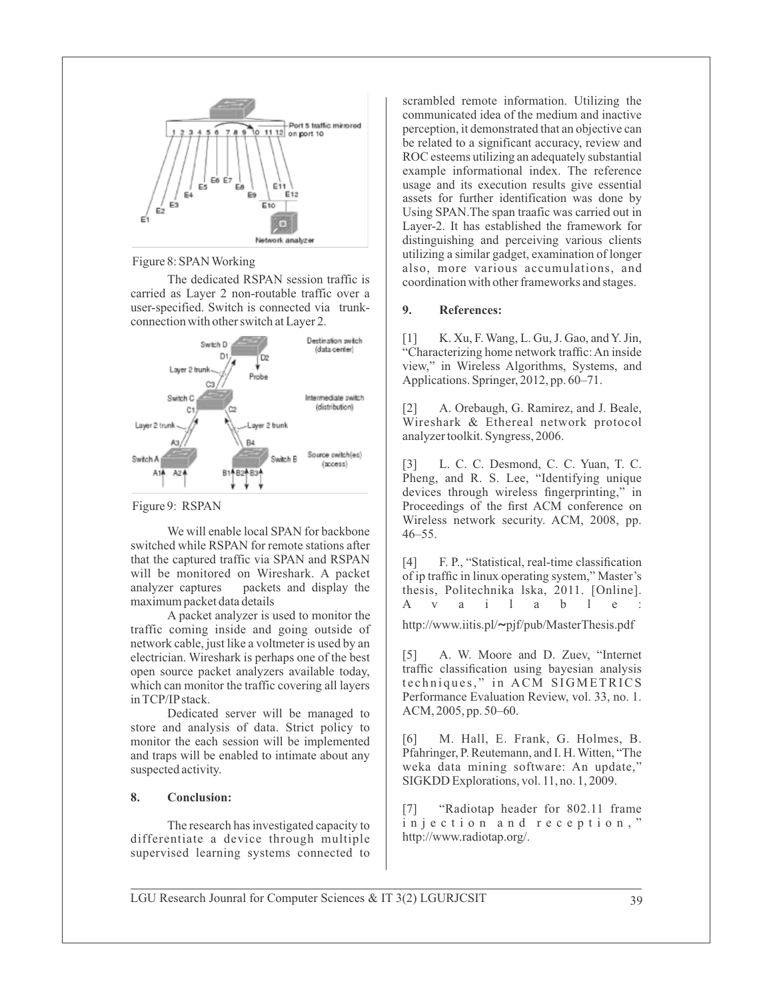

Figure 8: SPAN Working

The dedicated RSPAN session traffic is carried as Layer 2 non-routable traffic over a user-specified. Switch is connected via trunkconnection with other switch at Layer 2.



Figure 9: RSPAN

We will enable local SPAN for backbone switched while RSPAN for remote stations after that the captured traffic via SPAN and RSPAN will be monitored on Wireshark. A packet analyzer captures packets and display the maximum packet data details

A packet analyzer is used to monitor the traffic coming inside and going outside of network cable, just like a voltmeter is used by an electrician. Wireshark is perhaps one of the best open source packet analyzers available today, which can monitor the traffic covering all layers in TCP/IPstack.

Dedicated server will be managed to store and analysis of data. Strict policy to monitor the each session will be implemented and traps will be enabled to intimate about any suspected activity.

## **8. Conclusion:**

The research has investigated capacity to differentiate a device through multiple supervised learning systems connected to scrambled remote information. Utilizing the communicated idea of the medium and inactive perception, it demonstrated that an objective can be related to a significant accuracy, review and ROC esteems utilizing an adequately substantial example informational index. The reference usage and its execution results give essential assets for further identification was done by Using SPAN.The span traafic was carried out in Layer-2. It has established the framework for distinguishing and perceiving various clients utilizing a similar gadget, examination of longer also, more various accumulations, and coordination with other frameworks and stages.

# **9. References:**

[1] K. Xu, F. Wang, L. Gu, J. Gao, and Y. Jin, "Characterizing home network traffic: An inside view," in Wireless Algorithms, Systems, and Applications. Springer, 2012, pp. 60–71.

[2] A. Orebaugh, G. Ramirez, and J. Beale, Wireshark & Ethereal network protocol analyzer toolkit. Syngress, 2006.

[3] L. C. C. Desmond, C. C. Yuan, T. C. Pheng, and R. S. Lee, "Identifying unique devices through wireless fingerprinting," in Proceedings of the first ACM conference on Wireless network security. ACM, 2008, pp. 46–55.

[4] F. P., "Statistical, real-time classification of ip traffic in linux operating system," Master's thesis, Politechnika 1ska, 2011. [Online].<br>A v a i 1 a b 1 e : A v a i l a b l e :

http://www.iitis.pl/**~**pjf/pub/MasterThesis.pdf

[5] A. W. Moore and D. Zuev, "Internet traffic classification using bayesian analysis techniques," in ACM SIGMETRICS Performance Evaluation Review, vol. 33, no. 1. ACM, 2005, pp. 50–60.

[6] M. Hall, E. Frank, G. Holmes, B. Pfahringer, P. Reutemann, and I. H. Witten, "The weka data mining software: An update," SIGKDD Explorations, vol. 11, no. 1, 2009.

[7] "Radiotap header for 802.11 frame injection and reception," http://www.radiotap.org/.